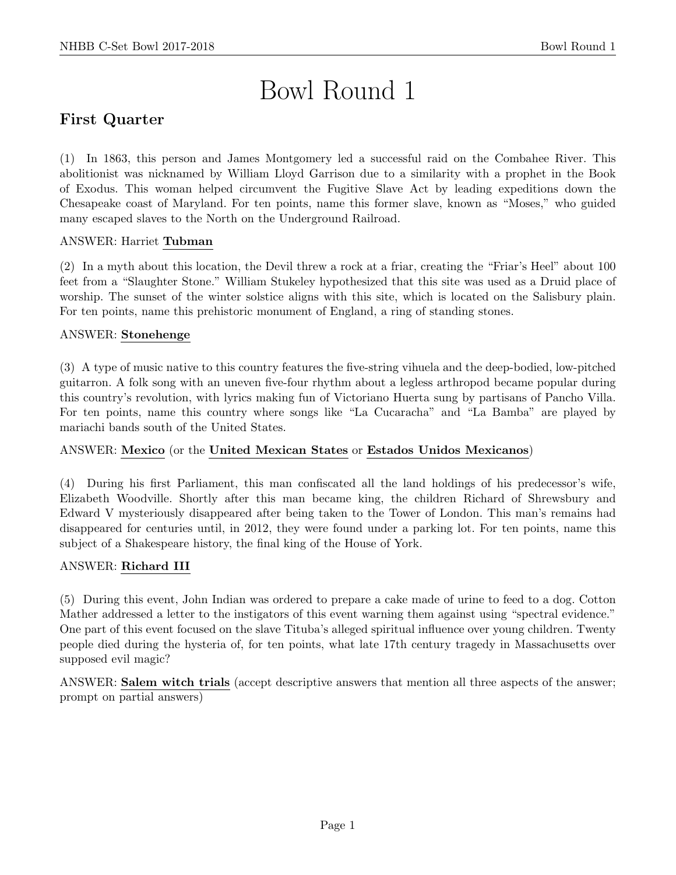# Bowl Round 1

# First Quarter

(1) In 1863, this person and James Montgomery led a successful raid on the Combahee River. This abolitionist was nicknamed by William Lloyd Garrison due to a similarity with a prophet in the Book of Exodus. This woman helped circumvent the Fugitive Slave Act by leading expeditions down the Chesapeake coast of Maryland. For ten points, name this former slave, known as "Moses," who guided many escaped slaves to the North on the Underground Railroad.

#### ANSWER: Harriet Tubman

(2) In a myth about this location, the Devil threw a rock at a friar, creating the "Friar's Heel" about 100 feet from a "Slaughter Stone." William Stukeley hypothesized that this site was used as a Druid place of worship. The sunset of the winter solstice aligns with this site, which is located on the Salisbury plain. For ten points, name this prehistoric monument of England, a ring of standing stones.

#### ANSWER: Stonehenge

(3) A type of music native to this country features the five-string vihuela and the deep-bodied, low-pitched guitarron. A folk song with an uneven five-four rhythm about a legless arthropod became popular during this country's revolution, with lyrics making fun of Victoriano Huerta sung by partisans of Pancho Villa. For ten points, name this country where songs like "La Cucaracha" and "La Bamba" are played by mariachi bands south of the United States.

## ANSWER: Mexico (or the United Mexican States or Estados Unidos Mexicanos)

(4) During his first Parliament, this man confiscated all the land holdings of his predecessor's wife, Elizabeth Woodville. Shortly after this man became king, the children Richard of Shrewsbury and Edward V mysteriously disappeared after being taken to the Tower of London. This man's remains had disappeared for centuries until, in 2012, they were found under a parking lot. For ten points, name this subject of a Shakespeare history, the final king of the House of York.

#### ANSWER: Richard III

(5) During this event, John Indian was ordered to prepare a cake made of urine to feed to a dog. Cotton Mather addressed a letter to the instigators of this event warning them against using "spectral evidence." One part of this event focused on the slave Tituba's alleged spiritual influence over young children. Twenty people died during the hysteria of, for ten points, what late 17th century tragedy in Massachusetts over supposed evil magic?

ANSWER: Salem witch trials (accept descriptive answers that mention all three aspects of the answer; prompt on partial answers)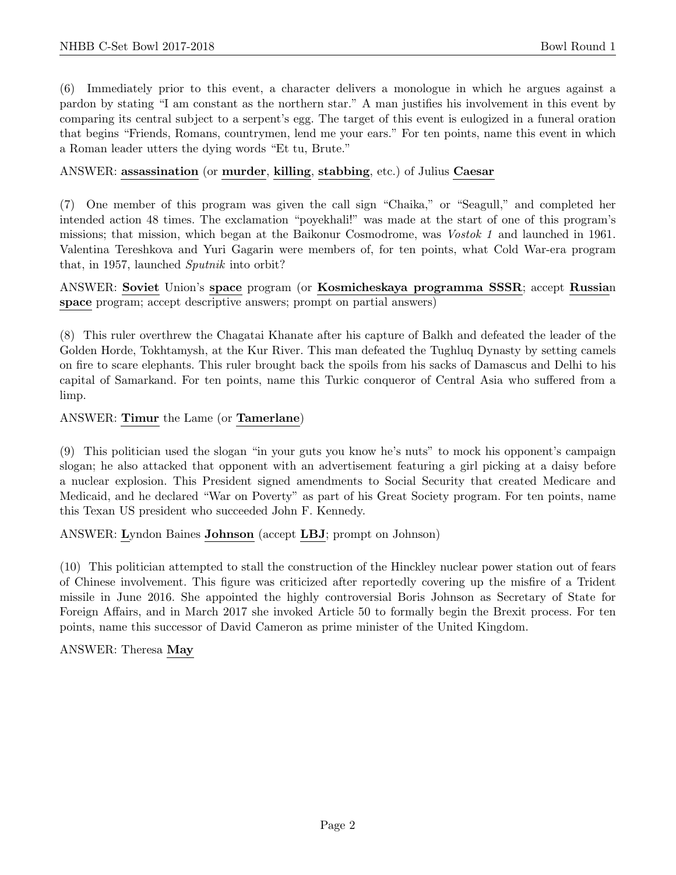(6) Immediately prior to this event, a character delivers a monologue in which he argues against a pardon by stating "I am constant as the northern star." A man justifies his involvement in this event by comparing its central subject to a serpent's egg. The target of this event is eulogized in a funeral oration that begins "Friends, Romans, countrymen, lend me your ears." For ten points, name this event in which a Roman leader utters the dying words "Et tu, Brute."

#### ANSWER: assassination (or murder, killing, stabbing, etc.) of Julius Caesar

(7) One member of this program was given the call sign "Chaika," or "Seagull," and completed her intended action 48 times. The exclamation "poyekhali!" was made at the start of one of this program's missions; that mission, which began at the Baikonur Cosmodrome, was Vostok 1 and launched in 1961. Valentina Tereshkova and Yuri Gagarin were members of, for ten points, what Cold War-era program that, in 1957, launched Sputnik into orbit?

ANSWER: Soviet Union's space program (or Kosmicheskaya programma SSSR; accept Russian space program; accept descriptive answers; prompt on partial answers)

(8) This ruler overthrew the Chagatai Khanate after his capture of Balkh and defeated the leader of the Golden Horde, Tokhtamysh, at the Kur River. This man defeated the Tughluq Dynasty by setting camels on fire to scare elephants. This ruler brought back the spoils from his sacks of Damascus and Delhi to his capital of Samarkand. For ten points, name this Turkic conqueror of Central Asia who suffered from a limp.

ANSWER: Timur the Lame (or Tamerlane)

(9) This politician used the slogan "in your guts you know he's nuts" to mock his opponent's campaign slogan; he also attacked that opponent with an advertisement featuring a girl picking at a daisy before a nuclear explosion. This President signed amendments to Social Security that created Medicare and Medicaid, and he declared "War on Poverty" as part of his Great Society program. For ten points, name this Texan US president who succeeded John F. Kennedy.

ANSWER: Lyndon Baines Johnson (accept LBJ; prompt on Johnson)

(10) This politician attempted to stall the construction of the Hinckley nuclear power station out of fears of Chinese involvement. This figure was criticized after reportedly covering up the misfire of a Trident missile in June 2016. She appointed the highly controversial Boris Johnson as Secretary of State for Foreign Affairs, and in March 2017 she invoked Article 50 to formally begin the Brexit process. For ten points, name this successor of David Cameron as prime minister of the United Kingdom.

ANSWER: Theresa May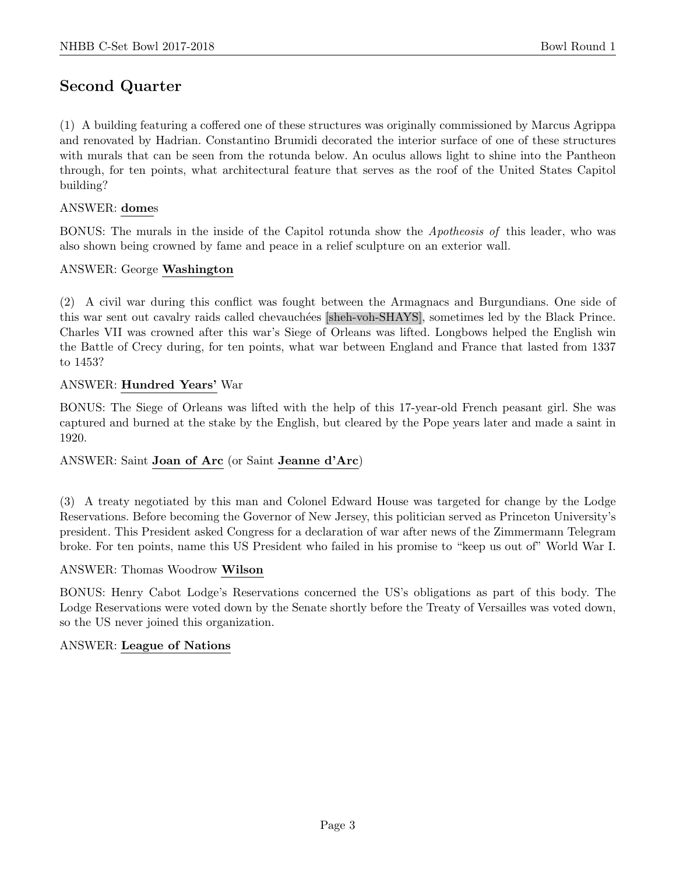## Second Quarter

(1) A building featuring a coffered one of these structures was originally commissioned by Marcus Agrippa and renovated by Hadrian. Constantino Brumidi decorated the interior surface of one of these structures with murals that can be seen from the rotunda below. An oculus allows light to shine into the Pantheon through, for ten points, what architectural feature that serves as the roof of the United States Capitol building?

#### ANSWER: domes

BONUS: The murals in the inside of the Capitol rotunda show the Apotheosis of this leader, who was also shown being crowned by fame and peace in a relief sculpture on an exterior wall.

#### ANSWER: George Washington

(2) A civil war during this conflict was fought between the Armagnacs and Burgundians. One side of this war sent out cavalry raids called chevauch´ees [sheh-voh-SHAYS], sometimes led by the Black Prince. Charles VII was crowned after this war's Siege of Orleans was lifted. Longbows helped the English win the Battle of Crecy during, for ten points, what war between England and France that lasted from 1337 to 1453?

#### ANSWER: Hundred Years' War

BONUS: The Siege of Orleans was lifted with the help of this 17-year-old French peasant girl. She was captured and burned at the stake by the English, but cleared by the Pope years later and made a saint in 1920.

#### ANSWER: Saint Joan of Arc (or Saint Jeanne d'Arc)

(3) A treaty negotiated by this man and Colonel Edward House was targeted for change by the Lodge Reservations. Before becoming the Governor of New Jersey, this politician served as Princeton University's president. This President asked Congress for a declaration of war after news of the Zimmermann Telegram broke. For ten points, name this US President who failed in his promise to "keep us out of" World War I.

#### ANSWER: Thomas Woodrow Wilson

BONUS: Henry Cabot Lodge's Reservations concerned the US's obligations as part of this body. The Lodge Reservations were voted down by the Senate shortly before the Treaty of Versailles was voted down, so the US never joined this organization.

#### ANSWER: League of Nations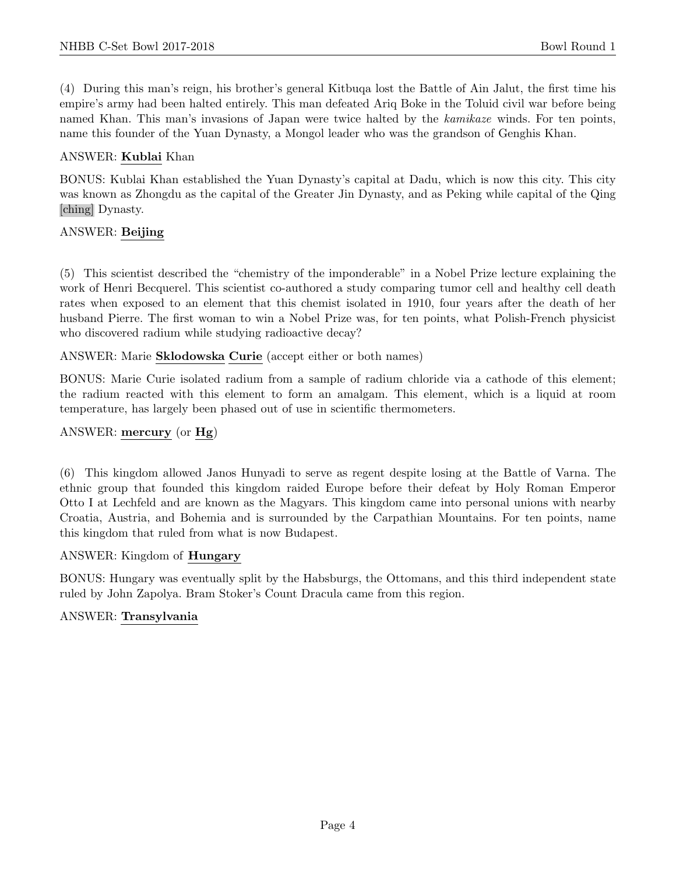(4) During this man's reign, his brother's general Kitbuqa lost the Battle of Ain Jalut, the first time his empire's army had been halted entirely. This man defeated Ariq Boke in the Toluid civil war before being named Khan. This man's invasions of Japan were twice halted by the kamikaze winds. For ten points, name this founder of the Yuan Dynasty, a Mongol leader who was the grandson of Genghis Khan.

#### ANSWER: Kublai Khan

BONUS: Kublai Khan established the Yuan Dynasty's capital at Dadu, which is now this city. This city was known as Zhongdu as the capital of the Greater Jin Dynasty, and as Peking while capital of the Qing [ching] Dynasty.

#### ANSWER: Beijing

(5) This scientist described the "chemistry of the imponderable" in a Nobel Prize lecture explaining the work of Henri Becquerel. This scientist co-authored a study comparing tumor cell and healthy cell death rates when exposed to an element that this chemist isolated in 1910, four years after the death of her husband Pierre. The first woman to win a Nobel Prize was, for ten points, what Polish-French physicist who discovered radium while studying radioactive decay?

ANSWER: Marie Sklodowska Curie (accept either or both names)

BONUS: Marie Curie isolated radium from a sample of radium chloride via a cathode of this element; the radium reacted with this element to form an amalgam. This element, which is a liquid at room temperature, has largely been phased out of use in scientific thermometers.

#### ANSWER: mercury (or Hg)

(6) This kingdom allowed Janos Hunyadi to serve as regent despite losing at the Battle of Varna. The ethnic group that founded this kingdom raided Europe before their defeat by Holy Roman Emperor Otto I at Lechfeld and are known as the Magyars. This kingdom came into personal unions with nearby Croatia, Austria, and Bohemia and is surrounded by the Carpathian Mountains. For ten points, name this kingdom that ruled from what is now Budapest.

#### ANSWER: Kingdom of Hungary

BONUS: Hungary was eventually split by the Habsburgs, the Ottomans, and this third independent state ruled by John Zapolya. Bram Stoker's Count Dracula came from this region.

#### ANSWER: Transylvania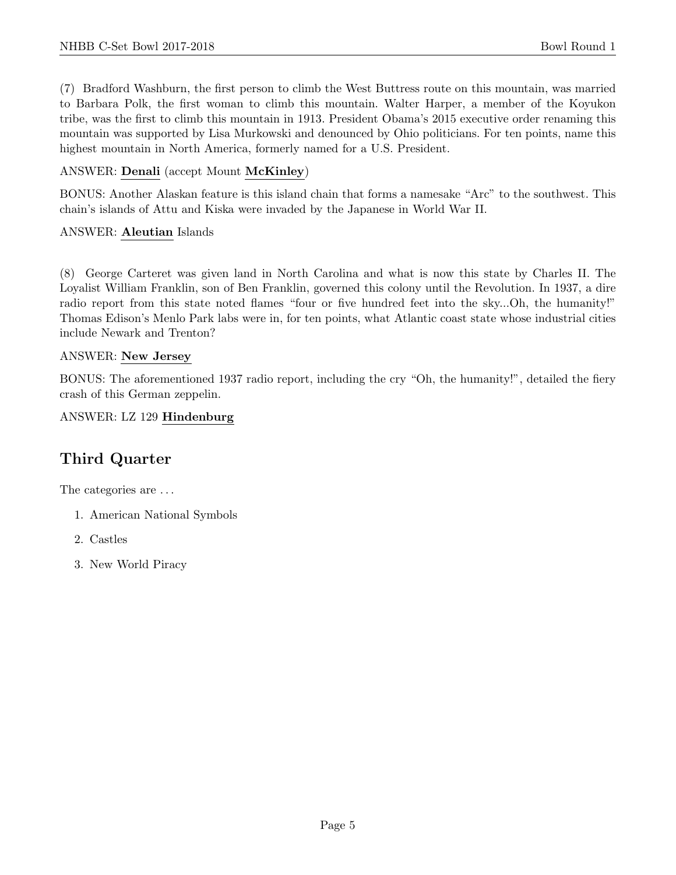(7) Bradford Washburn, the first person to climb the West Buttress route on this mountain, was married to Barbara Polk, the first woman to climb this mountain. Walter Harper, a member of the Koyukon tribe, was the first to climb this mountain in 1913. President Obama's 2015 executive order renaming this mountain was supported by Lisa Murkowski and denounced by Ohio politicians. For ten points, name this highest mountain in North America, formerly named for a U.S. President.

#### ANSWER: Denali (accept Mount McKinley)

BONUS: Another Alaskan feature is this island chain that forms a namesake "Arc" to the southwest. This chain's islands of Attu and Kiska were invaded by the Japanese in World War II.

#### ANSWER: Aleutian Islands

(8) George Carteret was given land in North Carolina and what is now this state by Charles II. The Loyalist William Franklin, son of Ben Franklin, governed this colony until the Revolution. In 1937, a dire radio report from this state noted flames "four or five hundred feet into the sky...Oh, the humanity!" Thomas Edison's Menlo Park labs were in, for ten points, what Atlantic coast state whose industrial cities include Newark and Trenton?

#### ANSWER: New Jersey

BONUS: The aforementioned 1937 radio report, including the cry "Oh, the humanity!", detailed the fiery crash of this German zeppelin.

ANSWER: LZ 129 Hindenburg

## Third Quarter

The categories are  $\dots$ 

- 1. American National Symbols
- 2. Castles
- 3. New World Piracy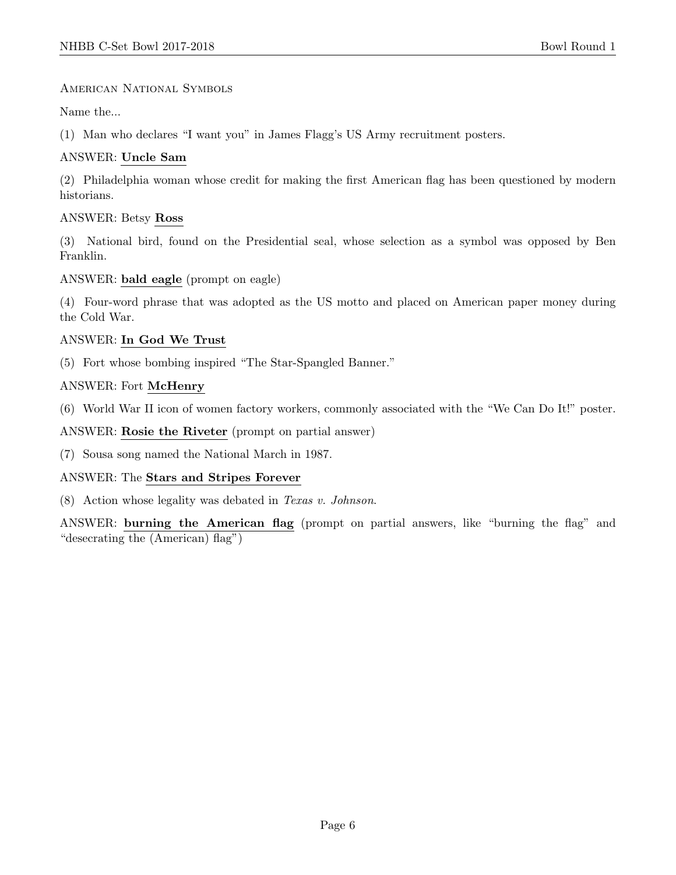#### American National Symbols

Name the...

(1) Man who declares "I want you" in James Flagg's US Army recruitment posters.

#### ANSWER: Uncle Sam

(2) Philadelphia woman whose credit for making the first American flag has been questioned by modern historians.

#### ANSWER: Betsy Ross

(3) National bird, found on the Presidential seal, whose selection as a symbol was opposed by Ben Franklin.

#### ANSWER: bald eagle (prompt on eagle)

(4) Four-word phrase that was adopted as the US motto and placed on American paper money during the Cold War.

#### ANSWER: In God We Trust

(5) Fort whose bombing inspired "The Star-Spangled Banner."

#### ANSWER: Fort McHenry

(6) World War II icon of women factory workers, commonly associated with the "We Can Do It!" poster.

#### ANSWER: Rosie the Riveter (prompt on partial answer)

(7) Sousa song named the National March in 1987.

#### ANSWER: The Stars and Stripes Forever

(8) Action whose legality was debated in Texas v. Johnson.

ANSWER: burning the American flag (prompt on partial answers, like "burning the flag" and "desecrating the (American) flag")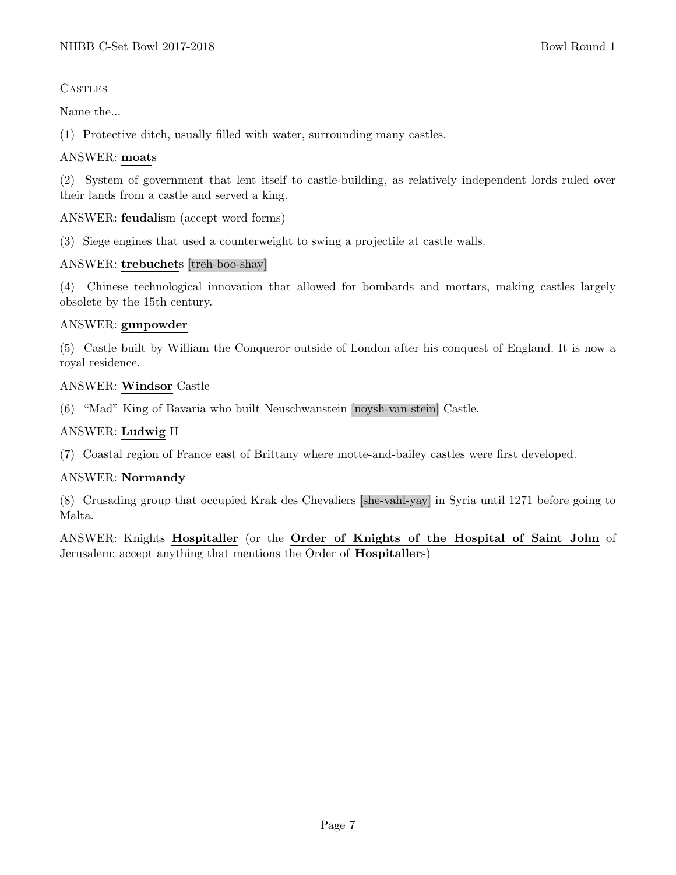**CASTLES** 

Name the...

(1) Protective ditch, usually filled with water, surrounding many castles.

#### ANSWER: moats

(2) System of government that lent itself to castle-building, as relatively independent lords ruled over their lands from a castle and served a king.

#### ANSWER: feudalism (accept word forms)

(3) Siege engines that used a counterweight to swing a projectile at castle walls.

#### ANSWER: trebuchets [treh-boo-shay]

(4) Chinese technological innovation that allowed for bombards and mortars, making castles largely obsolete by the 15th century.

#### ANSWER: gunpowder

(5) Castle built by William the Conqueror outside of London after his conquest of England. It is now a royal residence.

#### ANSWER: Windsor Castle

(6) "Mad" King of Bavaria who built Neuschwanstein [noysh-van-stein] Castle.

#### ANSWER: Ludwig II

(7) Coastal region of France east of Brittany where motte-and-bailey castles were first developed.

#### ANSWER: Normandy

(8) Crusading group that occupied Krak des Chevaliers [she-vahl-yay] in Syria until 1271 before going to Malta.

ANSWER: Knights Hospitaller (or the Order of Knights of the Hospital of Saint John of Jerusalem; accept anything that mentions the Order of Hospitallers)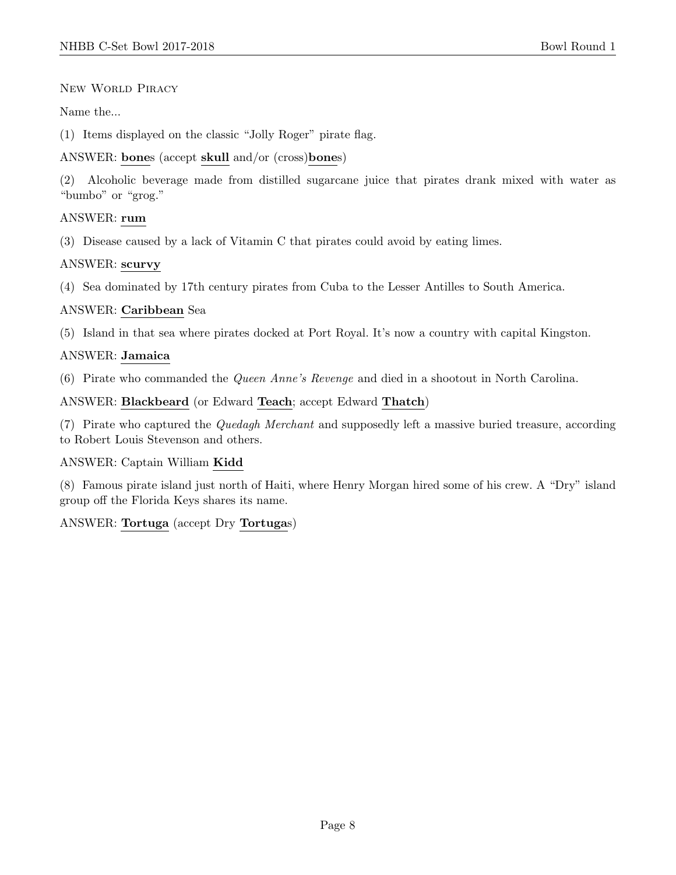#### New World Piracy

Name the...

(1) Items displayed on the classic "Jolly Roger" pirate flag.

ANSWER: bones (accept skull and/or (cross)bones)

(2) Alcoholic beverage made from distilled sugarcane juice that pirates drank mixed with water as "bumbo" or "grog."

#### ANSWER: rum

(3) Disease caused by a lack of Vitamin C that pirates could avoid by eating limes.

#### ANSWER: scurvy

(4) Sea dominated by 17th century pirates from Cuba to the Lesser Antilles to South America.

#### ANSWER: Caribbean Sea

(5) Island in that sea where pirates docked at Port Royal. It's now a country with capital Kingston.

#### ANSWER: Jamaica

(6) Pirate who commanded the Queen Anne's Revenge and died in a shootout in North Carolina.

ANSWER: Blackbeard (or Edward Teach; accept Edward Thatch)

(7) Pirate who captured the Quedagh Merchant and supposedly left a massive buried treasure, according to Robert Louis Stevenson and others.

#### ANSWER: Captain William Kidd

(8) Famous pirate island just north of Haiti, where Henry Morgan hired some of his crew. A "Dry" island group off the Florida Keys shares its name.

#### ANSWER: Tortuga (accept Dry Tortugas)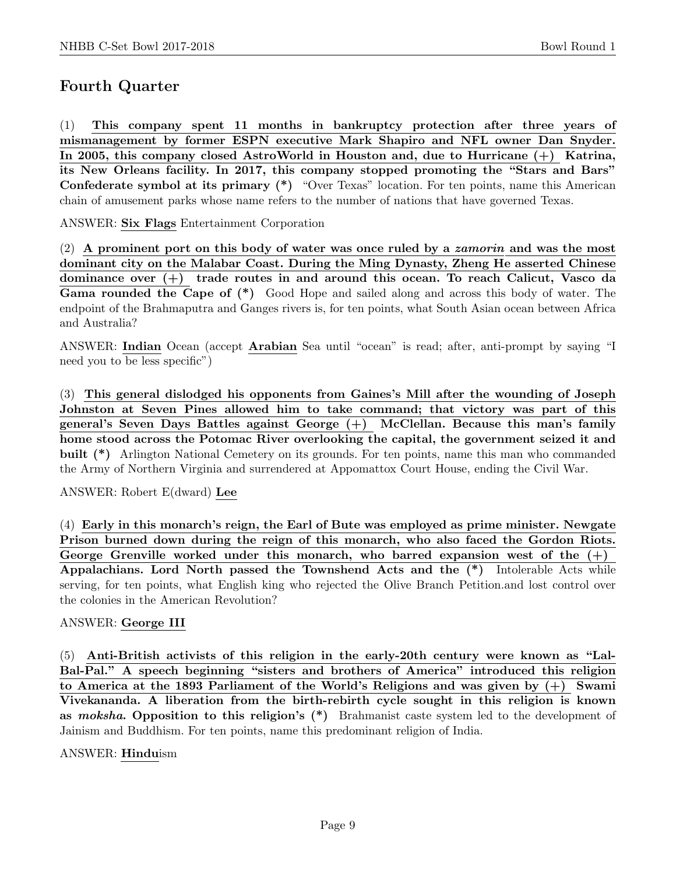## Fourth Quarter

(1) This company spent 11 months in bankruptcy protection after three years of mismanagement by former ESPN executive Mark Shapiro and NFL owner Dan Snyder. In 2005, this company closed AstroWorld in Houston and, due to Hurricane (+) Katrina, its New Orleans facility. In 2017, this company stopped promoting the "Stars and Bars" Confederate symbol at its primary (\*) "Over Texas" location. For ten points, name this American chain of amusement parks whose name refers to the number of nations that have governed Texas.

ANSWER: Six Flags Entertainment Corporation

 $(2)$  A prominent port on this body of water was once ruled by a *zamorin* and was the most dominant city on the Malabar Coast. During the Ming Dynasty, Zheng He asserted Chinese dominance over (+) trade routes in and around this ocean. To reach Calicut, Vasco da Gama rounded the Cape of (\*) Good Hope and sailed along and across this body of water. The endpoint of the Brahmaputra and Ganges rivers is, for ten points, what South Asian ocean between Africa and Australia?

ANSWER: Indian Ocean (accept Arabian Sea until "ocean" is read; after, anti-prompt by saying "I need you to be less specific")

(3) This general dislodged his opponents from Gaines's Mill after the wounding of Joseph Johnston at Seven Pines allowed him to take command; that victory was part of this general's Seven Days Battles against George (+) McClellan. Because this man's family home stood across the Potomac River overlooking the capital, the government seized it and built (\*) Arlington National Cemetery on its grounds. For ten points, name this man who commanded the Army of Northern Virginia and surrendered at Appomattox Court House, ending the Civil War.

ANSWER: Robert E(dward) Lee

(4) Early in this monarch's reign, the Earl of Bute was employed as prime minister. Newgate Prison burned down during the reign of this monarch, who also faced the Gordon Riots. George Grenville worked under this monarch, who barred expansion west of the  $(+)$ Appalachians. Lord North passed the Townshend Acts and the (\*) Intolerable Acts while serving, for ten points, what English king who rejected the Olive Branch Petition.and lost control over the colonies in the American Revolution?

#### ANSWER: George III

(5) Anti-British activists of this religion in the early-20th century were known as "Lal-Bal-Pal." A speech beginning "sisters and brothers of America" introduced this religion to America at the 1893 Parliament of the World's Religions and was given by (+) Swami Vivekananda. A liberation from the birth-rebirth cycle sought in this religion is known as *moksha*. Opposition to this religion's  $(*)$  Brahmanist caste system led to the development of Jainism and Buddhism. For ten points, name this predominant religion of India.

ANSWER: Hinduism